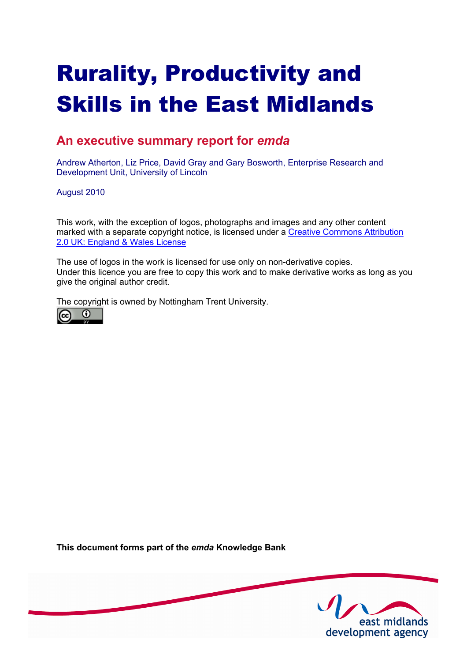# Rurality, Productivity and Skills in the East Midlands

### **An executive summary report for** *emda*

Andrew Atherton, Liz Price, David Gray and Gary Bosworth, Enterprise Research and Development Unit, University of Lincoln

August 2010

This work, with the exception of logos, photographs and images and any other content [marked with a separate copyright notice, is licensed under a Creative Commons Attribution](http://creativecommons.org/licenses/by/2.0/uk) 2.0 UK: England & Wales License

The use of logos in the work is licensed for use only on non-derivative copies. Under this licence you are free to copy this work and to make derivative works as long as you give the original author credit.

The copyright is owned by Nottingham Trent University.



**This document forms part of the** *emda* **Knowledge Bank** 

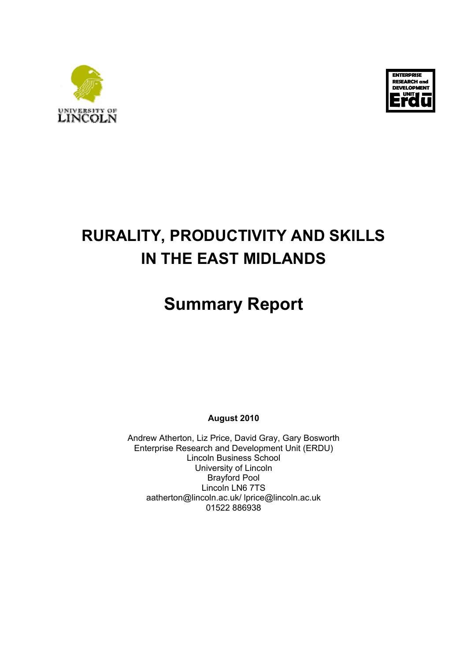



## **RURALITY, PRODUCTIVITY AND SKILLS IN THE EAST MIDLANDS**

## **Summary Report**

**August 2010** 

Andrew Atherton, Liz Price, David Gray, Gary Bosworth Enterprise Research and Development Unit (ERDU) Lincoln Business School University of Lincoln Brayford Pool Lincoln LN6 7TS aatherton@lincoln.ac.uk/ lprice@lincoln.ac.uk 01522 886938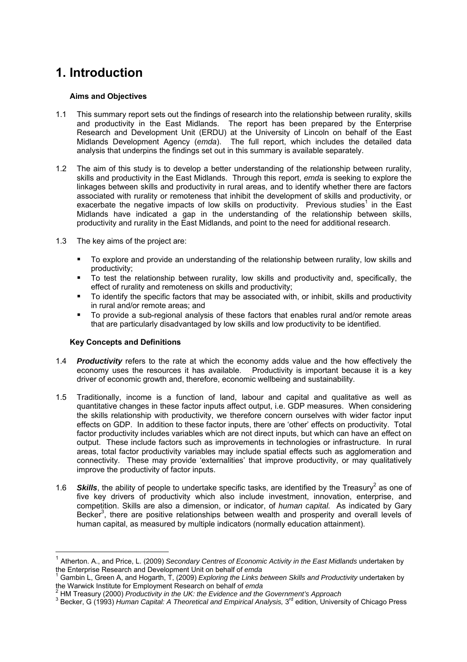## **1. Introduction**

#### **Aims and Objectives**

- 1.1 This summary report sets out the findings of research into the relationship between rurality, skills and productivity in the East Midlands. The report has been prepared by the Enterprise Research and Development Unit (ERDU) at the University of Lincoln on behalf of the East Midlands Development Agency (*emda*). The full report, which includes the detailed data analysis that underpins the findings set out in this summary is available separately.
- 1.2 The aim of this study is to develop a better understanding of the relationship between rurality, skills and productivity in the East Midlands. Through this report, *emda* is seeking to explore the linkages between skills and productivity in rural areas, and to identify whether there are factors associated with rurality or remoteness that inhibit the development of skills and productivity, or exacerbate the negative impacts of low skills on productivity. Previous studies<sup>1</sup> in the East Midlands have indicated a gap in the understanding of the relationship between skills, productivity and rurality in the East Midlands, and point to the need for additional research.
- 1.3 The key aims of the project are:
	- To explore and provide an understanding of the relationship between rurality, low skills and productivity;
	- To test the relationship between rurality, low skills and productivity and, specifically, the effect of rurality and remoteness on skills and productivity;
	- To identify the specific factors that may be associated with, or inhibit, skills and productivity in rural and/or remote areas; and
	- To provide a sub-regional analysis of these factors that enables rural and/or remote areas that are particularly disadvantaged by low skills and low productivity to be identified.

#### **Key Concepts and Definitions**

 $\overline{a}$ 

- 1.4 *Productivity* refers to the rate at which the economy adds value and the how effectively the economy uses the resources it has available. Productivity is important because it is a key driver of economic growth and, therefore, economic wellbeing and sustainability.
- 1.5 Traditionally, income is a function of land, labour and capital and qualitative as well as quantitative changes in these factor inputs affect output, i.e. GDP measures. When considering the skills relationship with productivity, we therefore concern ourselves with wider factor input effects on GDP. In addition to these factor inputs, there are 'other' effects on productivity. Total factor productivity includes variables which are not direct inputs, but which can have an effect on output. These include factors such as improvements in technologies or infrastructure. In rural areas, total factor productivity variables may include spatial effects such as agglomeration and connectivity. These may provide 'externalities' that improve productivity, or may qualitatively improve the productivity of factor inputs.
- 1.6 **Skills**, the ability of people to undertake specific tasks, are identified by the Treasury<sup>2</sup> as one of five key drivers of productivity which also include investment, innovation, enterprise, and competition. Skills are also a dimension, or indicator, of *human capital.* As indicated by Gary Becker<sup>3</sup>, there are positive relationships between wealth and prosperity and overall levels of human capital, as measured by multiple indicators (normally education attainment).

<sup>&</sup>lt;sup>1</sup> Atherton. A., and Price. L. (2009) *Secondary Centres of Economic Activity in the East Midlands* undertaken by the Enterprise Research and Development Unit on behalf of *emda* <sup>1</sup>

Gambin L, Green A, and Hogarth, T, (2009) *Exploring the Links between Skills and Productivity* undertaken by the Warwick Institute for Employment Research on behalf of *emda* <sup>2</sup>

HM Treasury (2000) *Productivity in the UK: the Evidence and the Government's Approach* <sup>3</sup>

<sup>&</sup>lt;sup>3</sup> Becker, G (1993) *Human Capital: A Theoretical and Empirical Analysis,* 3<sup>rd</sup> edition, University of Chicago Press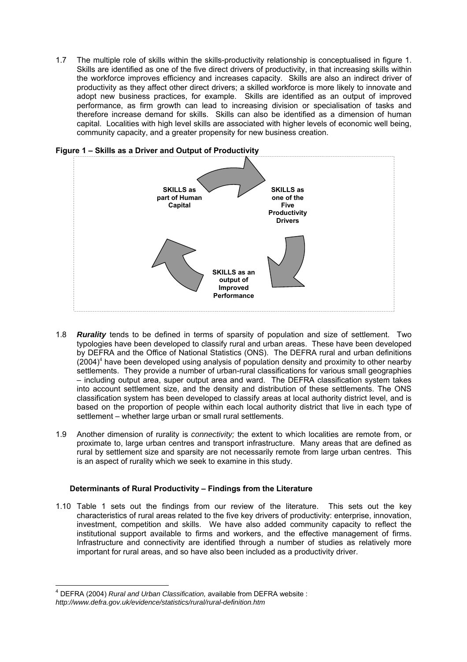1.7 The multiple role of skills within the skills-productivity relationship is conceptualised in figure 1. Skills are identified as one of the five direct drivers of productivity, in that increasing skills within the workforce improves efficiency and increases capacity. Skills are also an indirect driver of productivity as they affect other direct drivers; a skilled workforce is more likely to innovate and adopt new business practices, for example. Skills are identified as an output of improved performance, as firm growth can lead to increasing division or specialisation of tasks and therefore increase demand for skills. Skills can also be identified as a dimension of human capital. Localities with high level skills are associated with higher levels of economic well being, community capacity, and a greater propensity for new business creation.



**Figure 1 – Skills as a Driver and Output of Productivity** 

- 1.8 *Rurality* tends to be defined in terms of sparsity of population and size of settlement. Two typologies have been developed to classify rural and urban areas. These have been developed by DEFRA and the Office of National Statistics (ONS). The DEFRA rural and urban definitions  $(2004)^4$  have been developed using analysis of population density and proximity to other nearby settlements. They provide a number of urban-rural classifications for various small geographies – including output area, super output area and ward. The DEFRA classification system takes into account settlement size, and the density and distribution of these settlements. The ONS classification system has been developed to classify areas at local authority district level, and is based on the proportion of people within each local authority district that live in each type of settlement – whether large urban or small rural settlements.
- 1.9 Another dimension of rurality is *connectivity;* the extent to which localities are remote from, or proximate to, large urban centres and transport infrastructure. Many areas that are defined as rural by settlement size and sparsity are not necessarily remote from large urban centres. This is an aspect of rurality which we seek to examine in this study.

#### **Determinants of Rural Productivity – Findings from the Literature**

1.10 Table 1 sets out the findings from our review of the literature. This sets out the key characteristics of rural areas related to the five key drivers of productivity: enterprise, innovation, investment, competition and skills. We have also added community capacity to reflect the institutional support available to firms and workers, and the effective management of firms. Infrastructure and connectivity are identified through a number of studies as relatively more important for rural areas, and so have also been included as a productivity driver.

 $\overline{a}$ 

<sup>&</sup>lt;sup>4</sup> DEFRA (2004) *Rural and Urban Classification,* available from DEFRA website :

*http://www.defra.gov.uk/evidence/statistics/rural/rural-definition.htm*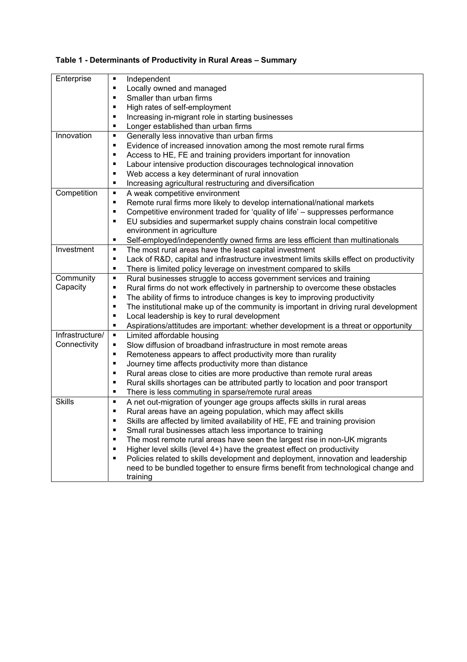| Enterprise      | Independent<br>٠                                                                                       |  |  |  |  |
|-----------------|--------------------------------------------------------------------------------------------------------|--|--|--|--|
|                 | Locally owned and managed<br>п                                                                         |  |  |  |  |
|                 | Smaller than urban firms                                                                               |  |  |  |  |
|                 | High rates of self-employment<br>٠                                                                     |  |  |  |  |
|                 | Increasing in-migrant role in starting businesses<br>п                                                 |  |  |  |  |
|                 | Longer established than urban firms<br>٠                                                               |  |  |  |  |
| Innovation      | Generally less innovative than urban firms<br>٠                                                        |  |  |  |  |
|                 | Evidence of increased innovation among the most remote rural firms<br>п                                |  |  |  |  |
|                 | Access to HE, FE and training providers important for innovation<br>п                                  |  |  |  |  |
|                 | Labour intensive production discourages technological innovation<br>п                                  |  |  |  |  |
|                 | Web access a key determinant of rural innovation<br>٠                                                  |  |  |  |  |
|                 | Increasing agricultural restructuring and diversification<br>п                                         |  |  |  |  |
| Competition     | A weak competitive environment<br>٠                                                                    |  |  |  |  |
|                 | Remote rural firms more likely to develop international/national markets<br>п                          |  |  |  |  |
|                 | Competitive environment traded for 'quality of life' - suppresses performance<br>п                     |  |  |  |  |
|                 | EU subsidies and supermarket supply chains constrain local competitive<br>п                            |  |  |  |  |
|                 | environment in agriculture                                                                             |  |  |  |  |
|                 | Self-employed/independently owned firms are less efficient than multinationals<br>п                    |  |  |  |  |
| Investment      | The most rural areas have the least capital investment<br>٠                                            |  |  |  |  |
|                 | Lack of R&D, capital and infrastructure investment limits skills effect on productivity<br>п           |  |  |  |  |
|                 | There is limited policy leverage on investment compared to skills<br>п                                 |  |  |  |  |
| Community       | Rural businesses struggle to access government services and training<br>٠                              |  |  |  |  |
| Capacity        | Rural firms do not work effectively in partnership to overcome these obstacles<br>п                    |  |  |  |  |
|                 | The ability of firms to introduce changes is key to improving productivity<br>$\blacksquare$           |  |  |  |  |
|                 | The institutional make up of the community is important in driving rural development<br>$\blacksquare$ |  |  |  |  |
|                 | Local leadership is key to rural development<br>$\blacksquare$                                         |  |  |  |  |
|                 | Aspirations/attitudes are important: whether development is a threat or opportunity<br>п               |  |  |  |  |
| Infrastructure/ | Limited affordable housing<br>٠                                                                        |  |  |  |  |
| Connectivity    | Slow diffusion of broadband infrastructure in most remote areas<br>٠                                   |  |  |  |  |
|                 | Remoteness appears to affect productivity more than rurality<br>٠                                      |  |  |  |  |
|                 | Journey time affects productivity more than distance<br>٠                                              |  |  |  |  |
|                 | п                                                                                                      |  |  |  |  |
|                 | Rural areas close to cities are more productive than remote rural areas<br>п                           |  |  |  |  |
|                 | Rural skills shortages can be attributed partly to location and poor transport<br>٠                    |  |  |  |  |
| <b>Skills</b>   | There is less commuting in sparse/remote rural areas<br>$\blacksquare$                                 |  |  |  |  |
|                 | A net out-migration of younger age groups affects skills in rural areas                                |  |  |  |  |
|                 | Rural areas have an ageing population, which may affect skills<br>٠                                    |  |  |  |  |
|                 | Skills are affected by limited availability of HE, FE and training provision                           |  |  |  |  |
|                 | Small rural businesses attach less importance to training<br>٠                                         |  |  |  |  |
|                 | The most remote rural areas have seen the largest rise in non-UK migrants<br>٠                         |  |  |  |  |
|                 | Higher level skills (level 4+) have the greatest effect on productivity<br>٠                           |  |  |  |  |
|                 | Policies related to skills development and deployment, innovation and leadership<br>٠                  |  |  |  |  |
|                 | need to be bundled together to ensure firms benefit from technological change and                      |  |  |  |  |
|                 | training                                                                                               |  |  |  |  |

#### **Table 1 - Determinants of Productivity in Rural Areas – Summary**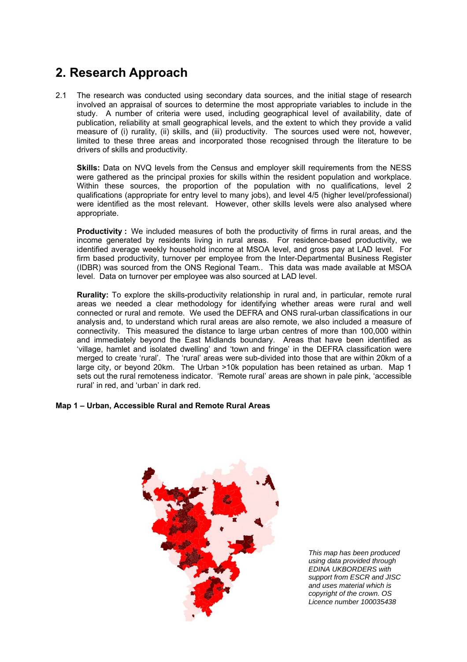### **2. Research Approach**

2.1 The research was conducted using secondary data sources, and the initial stage of research involved an appraisal of sources to determine the most appropriate variables to include in the study. A number of criteria were used, including geographical level of availability, date of publication, reliability at small geographical levels, and the extent to which they provide a valid measure of (i) rurality, (ii) skills, and (iii) productivity. The sources used were not, however, limited to these three areas and incorporated those recognised through the literature to be drivers of skills and productivity.

**Skills:** Data on NVQ levels from the Census and employer skill requirements from the NESS were gathered as the principal proxies for skills within the resident population and workplace. Within these sources, the proportion of the population with no qualifications, level 2 qualifications (appropriate for entry level to many jobs), and level 4/5 (higher level/professional) were identified as the most relevant. However, other skills levels were also analysed where appropriate.

**Productivity :** We included measures of both the productivity of firms in rural areas, and the income generated by residents living in rural areas. For residence-based productivity, we identified average weekly household income at MSOA level, and gross pay at LAD level. For firm based productivity, turnover per employee from the Inter-Departmental Business Register (IDBR) was sourced from the ONS Regional Team*.*. This data was made available at MSOA level. Data on turnover per employee was also sourced at LAD level.

**Rurality:** To explore the skills-productivity relationship in rural and, in particular, remote rural areas we needed a clear methodology for identifying whether areas were rural and well connected or rural and remote. We used the DEFRA and ONS rural-urban classifications in our analysis and, to understand which rural areas are also remote, we also included a measure of connectivity. This measured the distance to large urban centres of more than 100,000 within and immediately beyond the East Midlands boundary. Areas that have been identified as 'village, hamlet and isolated dwelling' and 'town and fringe' in the DEFRA classification were merged to create 'rural'. The 'rural' areas were sub-divided into those that are within 20km of a large city, or beyond 20km. The Urban >10k population has been retained as urban. Map 1 sets out the rural remoteness indicator. 'Remote rural' areas are shown in pale pink, 'accessible rural' in red, and 'urban' in dark red.

#### **Map 1 – Urban, Accessible Rural and Remote Rural Areas**



*This map has been produced using data provided through EDINA UKBORDERS with support from ESCR and JISC and uses material which is copyright of the crown. OS Licence number 100035438*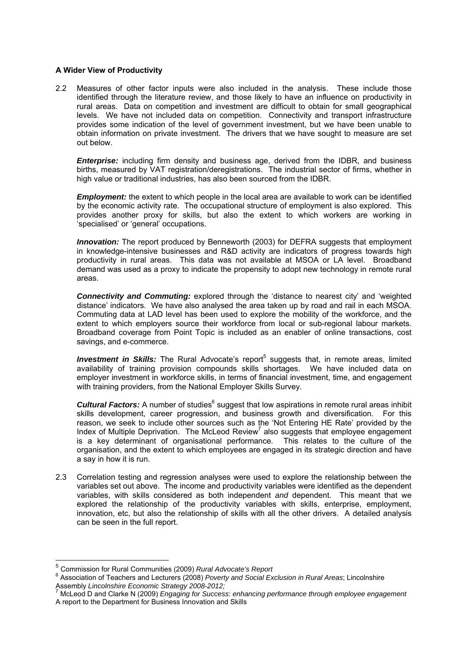#### **A Wider View of Productivity**

2.2 Measures of other factor inputs were also included in the analysis. These include those identified through the literature review, and those likely to have an influence on productivity in rural areas. Data on competition and investment are difficult to obtain for small geographical levels. We have not included data on competition. Connectivity and transport infrastructure provides some indication of the level of government investment, but we have been unable to obtain information on private investment. The drivers that we have sought to measure are set out below.

*Enterprise:* including firm density and business age, derived from the IDBR, and business births, measured by VAT registration/deregistrations. The industrial sector of firms, whether in high value or traditional industries, has also been sourced from the IDBR.

**Employment:** the extent to which people in the local area are available to work can be identified by the economic activity rate. The occupational structure of employment is also explored. This provides another proxy for skills, but also the extent to which workers are working in 'specialised' or 'general' occupations.

**Innovation:** The report produced by Benneworth (2003) for DEFRA suggests that employment in knowledge-intensive businesses and R&D activity are indicators of progress towards high productivity in rural areas. This data was not available at MSOA or LA level. Broadband demand was used as a proxy to indicate the propensity to adopt new technology in remote rural areas.

**Connectivity and Commuting:** explored through the 'distance to nearest city' and 'weighted distance' indicators. We have also analysed the area taken up by road and rail in each MSOA. Commuting data at LAD level has been used to explore the mobility of the workforce, and the extent to which employers source their workforce from local or sub-regional labour markets. Broadband coverage from Point Topic is included as an enabler of online transactions, cost savings, and e-commerce.

**Investment in Skills:** The Rural Advocate's report<sup>5</sup> suggests that, in remote areas, limited availability of training provision compounds skills shortages. We have included data on employer investment in workforce skills, in terms of financial investment, time, and engagement with training providers, from the National Employer Skills Survey.

**Cultural Factors:** A number of studies<sup>6</sup> suggest that low aspirations in remote rural areas inhibit skills development, career progression, and business growth and diversification. For this reason, we seek to include other sources such as the 'Not Entering HE Rate' provided by the Index of Multiple Deprivation. The McLeod Review<sup>7</sup> also suggests that employee engagement is a key determinant of organisational performance. This relates to the culture of the organisation, and the extent to which employees are engaged in its strategic direction and have a say in how it is run.

2.3 Correlation testing and regression analyses were used to explore the relationship between the variables set out above. The income and productivity variables were identified as the dependent variables, with skills considered as both independent *and* dependent. This meant that we explored the relationship of the productivity variables with skills, enterprise, employment, innovation, etc, but also the relationship of skills with all the other drivers. A detailed analysis can be seen in the full report.

 $\overline{a}$ 

<sup>5</sup> Commission for Rural Communities (2009) *Rural Advocate's Report* <sup>6</sup>

Association of Teachers and Lecturers (2008) *Poverty and Social Exclusion in Rural Areas*; Lincolnshire Assembly *Lincolnshire Economic Strategy 2008-2012;* <sup>7</sup>

McLeod D and Clarke N (2009) *Engaging for Success*: *enhancing performance through employee engagement* A report to the Department for Business Innovation and Skills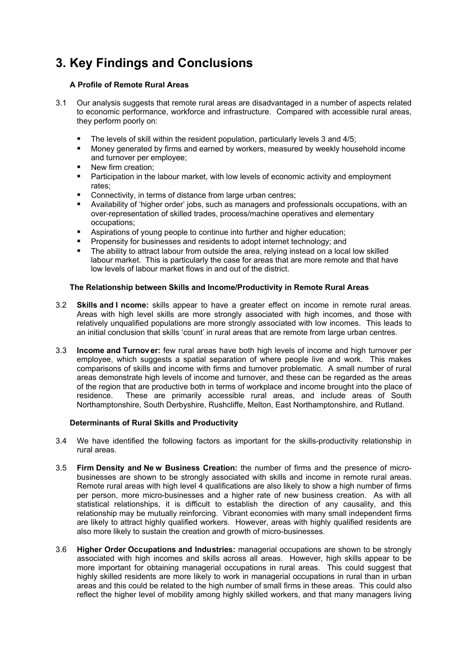## **3. Key Findings and Conclusions**

#### **A Profile of Remote Rural Areas**

- 3.1 Our analysis suggests that remote rural areas are disadvantaged in a number of aspects related to economic performance, workforce and infrastructure. Compared with accessible rural areas, they perform poorly on:
	- The levels of skill within the resident population, particularly levels 3 and 4/5;
	- Money generated by firms and earned by workers, measured by weekly household income and turnover per employee;
	- New firm creation;
	- Participation in the labour market, with low levels of economic activity and employment rates;
	- Connectivity, in terms of distance from large urban centres;
	- Availability of 'higher order' jobs, such as managers and professionals occupations, with an over-representation of skilled trades, process/machine operatives and elementary occupations;
	- Aspirations of young people to continue into further and higher education;
	- Propensity for businesses and residents to adopt internet technology; and
	- The ability to attract labour from outside the area, relying instead on a local low skilled labour market. This is particularly the case for areas that are more remote and that have low levels of labour market flows in and out of the district.

#### **The Relationship between Skills and Income/Productivity in Remote Rural Areas**

- 3.2 **Skills and I ncome:** skills appear to have a greater effect on income in remote rural areas. Areas with high level skills are more strongly associated with high incomes, and those with relatively unqualified populations are more strongly associated with low incomes. This leads to an initial conclusion that skills 'count' in rural areas that are remote from large urban centres.
- 3.3 **Income and Turnover:** few rural areas have both high levels of income and high turnover per employee, which suggests a spatial separation of where people live and work. This makes comparisons of skills and income with firms and turnover problematic. A small number of rural areas demonstrate high levels of income and turnover, and these can be regarded as the areas of the region that are productive both in terms of workplace and income brought into the place of residence. These are primarily accessible rural areas, and include areas of South These are primarily accessible rural areas, and include areas of South Northamptonshire, South Derbyshire, Rushcliffe, Melton, East Northamptonshire, and Rutland.

#### **Determinants of Rural Skills and Productivity**

- 3.4 We have identified the following factors as important for the skills-productivity relationship in rural areas.
- 3.5 **Firm Density and Ne w Business Creation:** the number of firms and the presence of microbusinesses are shown to be strongly associated with skills and income in remote rural areas. Remote rural areas with high level 4 qualifications are also likely to show a high number of firms per person, more micro-businesses and a higher rate of new business creation. As with all statistical relationships, it is difficult to establish the direction of any causality, and this relationship may be mutually reinforcing. Vibrant economies with many small independent firms are likely to attract highly qualified workers. However, areas with highly qualified residents are also more likely to sustain the creation and growth of micro-businesses.
- 3.6 **Higher Order Occupations and Industries:** managerial occupations are shown to be strongly associated with high incomes and skills across all areas. However, high skills appear to be more important for obtaining managerial occupations in rural areas. This could suggest that highly skilled residents are more likely to work in managerial occupations in rural than in urban areas and this could be related to the high number of small firms in these areas. This could also reflect the higher level of mobility among highly skilled workers, and that many managers living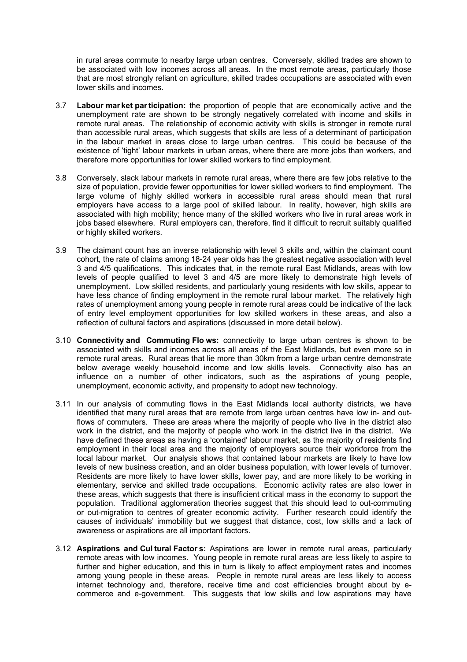in rural areas commute to nearby large urban centres. Conversely, skilled trades are shown to be associated with low incomes across all areas. In the most remote areas, particularly those that are most strongly reliant on agriculture, skilled trades occupations are associated with even lower skills and incomes.

- 3.7 **Labour mar ket par ticipation:** the proportion of people that are economically active and the unemployment rate are shown to be strongly negatively correlated with income and skills in remote rural areas. The relationship of economic activity with skills is stronger in remote rural than accessible rural areas, which suggests that skills are less of a determinant of participation in the labour market in areas close to large urban centres. This could be because of the existence of 'tight' labour markets in urban areas, where there are more jobs than workers, and therefore more opportunities for lower skilled workers to find employment.
- 3.8 Conversely, slack labour markets in remote rural areas, where there are few jobs relative to the size of population, provide fewer opportunities for lower skilled workers to find employment. The large volume of highly skilled workers in accessible rural areas should mean that rural employers have access to a large pool of skilled labour. In reality, however, high skills are associated with high mobility; hence many of the skilled workers who live in rural areas work in jobs based elsewhere. Rural employers can, therefore, find it difficult to recruit suitably qualified or highly skilled workers.
- 3.9 The claimant count has an inverse relationship with level 3 skills and, within the claimant count cohort, the rate of claims among 18-24 year olds has the greatest negative association with level 3 and 4/5 qualifications. This indicates that, in the remote rural East Midlands, areas with low levels of people qualified to level 3 and 4/5 are more likely to demonstrate high levels of unemployment. Low skilled residents, and particularly young residents with low skills, appear to have less chance of finding employment in the remote rural labour market. The relatively high rates of unemployment among young people in remote rural areas could be indicative of the lack of entry level employment opportunities for low skilled workers in these areas, and also a reflection of cultural factors and aspirations (discussed in more detail below).
- 3.10 **Connectivity and Commuting Flo ws:** connectivity to large urban centres is shown to be associated with skills and incomes across all areas of the East Midlands, but even more so in remote rural areas. Rural areas that lie more than 30km from a large urban centre demonstrate below average weekly household income and low skills levels. Connectivity also has an influence on a number of other indicators, such as the aspirations of young people, unemployment, economic activity, and propensity to adopt new technology.
- 3.11 In our analysis of commuting flows in the East Midlands local authority districts, we have identified that many rural areas that are remote from large urban centres have low in- and outflows of commuters. These are areas where the majority of people who live in the district also work in the district, and the majority of people who work in the district live in the district. We have defined these areas as having a 'contained' labour market, as the majority of residents find employment in their local area and the majority of employers source their workforce from the local labour market. Our analysis shows that contained labour markets are likely to have low levels of new business creation, and an older business population, with lower levels of turnover. Residents are more likely to have lower skills, lower pay, and are more likely to be working in elementary, service and skilled trade occupations. Economic activity rates are also lower in these areas, which suggests that there is insufficient critical mass in the economy to support the population. Traditional agglomeration theories suggest that this should lead to out-commuting or out-migration to centres of greater economic activity. Further research could identify the causes of individuals' immobility but we suggest that distance, cost, low skills and a lack of awareness or aspirations are all important factors.
- 3.12 **Aspirations and Cul tural Factor s:** Aspirations are lower in remote rural areas, particularly remote areas with low incomes. Young people in remote rural areas are less likely to aspire to further and higher education, and this in turn is likely to affect employment rates and incomes among young people in these areas. People in remote rural areas are less likely to access internet technology and, therefore, receive time and cost efficiencies brought about by ecommerce and e-government. This suggests that low skills and low aspirations may have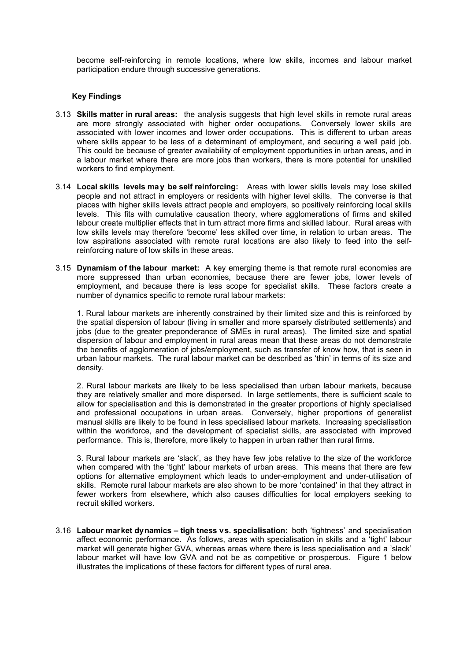become self-reinforcing in remote locations, where low skills, incomes and labour market participation endure through successive generations.

#### **Key Findings**

- 3.13 **Skills matter in rural areas:** the analysis suggests that high level skills in remote rural areas are more strongly associated with higher order occupations. Conversely lower skills are associated with lower incomes and lower order occupations. This is different to urban areas where skills appear to be less of a determinant of employment, and securing a well paid job. This could be because of greater availability of employment opportunities in urban areas, and in a labour market where there are more jobs than workers, there is more potential for unskilled workers to find employment.
- 3.14 **Local skills levels ma y be self reinforcing:** Areas with lower skills levels may lose skilled people and not attract in employers or residents with higher level skills. The converse is that places with higher skills levels attract people and employers, so positively reinforcing local skills levels. This fits with cumulative causation theory, where agglomerations of firms and skilled labour create multiplier effects that in turn attract more firms and skilled labour. Rural areas with low skills levels may therefore 'become' less skilled over time, in relation to urban areas. The low aspirations associated with remote rural locations are also likely to feed into the selfreinforcing nature of low skills in these areas.
- 3.15 **Dynamism of the labour market:** A key emerging theme is that remote rural economies are more suppressed than urban economies, because there are fewer jobs, lower levels of employment, and because there is less scope for specialist skills. These factors create a number of dynamics specific to remote rural labour markets:

1. Rural labour markets are inherently constrained by their limited size and this is reinforced by the spatial dispersion of labour (living in smaller and more sparsely distributed settlements) and jobs (due to the greater preponderance of SMEs in rural areas). The limited size and spatial dispersion of labour and employment in rural areas mean that these areas do not demonstrate the benefits of agglomeration of jobs/employment, such as transfer of know how, that is seen in urban labour markets. The rural labour market can be described as 'thin' in terms of its size and density.

 2. Rural labour markets are likely to be less specialised than urban labour markets, because they are relatively smaller and more dispersed. In large settlements, there is sufficient scale to allow for specialisation and this is demonstrated in the greater proportions of highly specialised and professional occupations in urban areas. Conversely, higher proportions of generalist manual skills are likely to be found in less specialised labour markets. Increasing specialisation within the workforce, and the development of specialist skills, are associated with improved performance. This is, therefore, more likely to happen in urban rather than rural firms.

3. Rural labour markets are 'slack', as they have few jobs relative to the size of the workforce when compared with the 'tight' labour markets of urban areas. This means that there are few options for alternative employment which leads to under-employment and under-utilisation of skills. Remote rural labour markets are also shown to be more 'contained' in that they attract in fewer workers from elsewhere, which also causes difficulties for local employers seeking to recruit skilled workers.

3.16 **Labour market dynamics – tigh tness vs. specialisation:** both 'tightness' and specialisation affect economic performance. As follows, areas with specialisation in skills and a 'tight' labour market will generate higher GVA, whereas areas where there is less specialisation and a 'slack' labour market will have low GVA and not be as competitive or prosperous. Figure 1 below illustrates the implications of these factors for different types of rural area.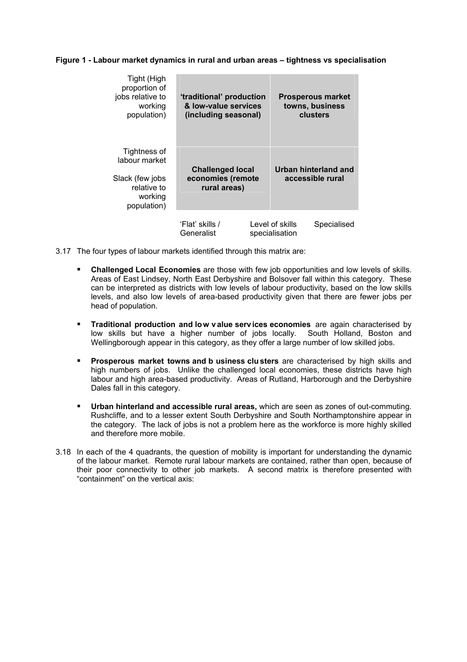#### **Figure 1 - Labour market dynamics in rural and urban areas – tightness vs specialisation**

| Tight (High<br>proportion of<br>jobs relative to<br>working<br>population)                | 'traditional' production<br>& low-value services<br>(including seasonal) |                                   | <b>Prosperous market</b><br>towns, business<br>clusters |  |
|-------------------------------------------------------------------------------------------|--------------------------------------------------------------------------|-----------------------------------|---------------------------------------------------------|--|
| Tightness of<br>labour market<br>Slack (few jobs<br>relative to<br>working<br>population) | <b>Challenged local</b><br>economies (remote<br>rural areas)             |                                   | Urban hinterland and<br>accessible rural                |  |
|                                                                                           | 'Flat' skills /<br>Generalist                                            | Level of skills<br>specialisation | Specialised                                             |  |

- 3.17 The four types of labour markets identified through this matrix are:
	- **Challenged Local Economies** are those with few job opportunities and low levels of skills. Areas of East Lindsey, North East Derbyshire and Bolsover fall within this category. These can be interpreted as districts with low levels of labour productivity, based on the low skills levels, and also low levels of area-based productivity given that there are fewer jobs per head of population.
	- **Traditional production and low value services economies** are again characterised by low skills but have a higher number of jobs locally. South Holland, Boston and Wellingborough appear in this category, as they offer a large number of low skilled jobs.
	- **Prosperous market towns and b usiness clu sters** are characterised by high skills and high numbers of jobs. Unlike the challenged local economies, these districts have high labour and high area-based productivity. Areas of Rutland, Harborough and the Derbyshire Dales fall in this category.
	- **Urban hinterland and accessible rural areas,** which are seen as zones of out-commuting. Rushcliffe, and to a lesser extent South Derbyshire and South Northamptonshire appear in the category. The lack of jobs is not a problem here as the workforce is more highly skilled and therefore more mobile.
- 3.18 In each of the 4 quadrants, the question of mobility is important for understanding the dynamic of the labour market. Remote rural labour markets are contained, rather than open, because of their poor connectivity to other job markets. A second matrix is therefore presented with "containment" on the vertical axis: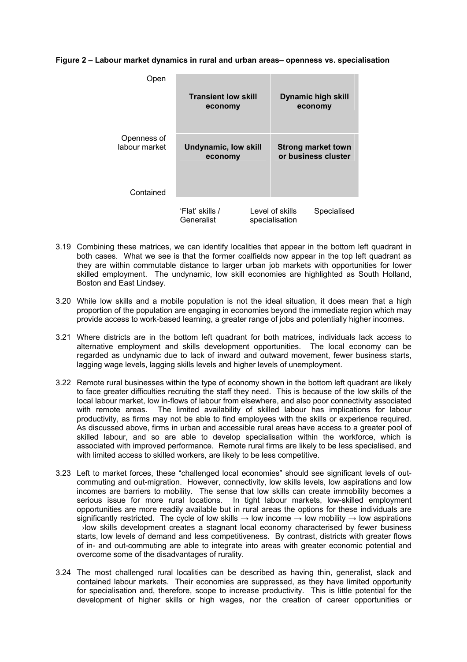#### **Figure 2 – Labour market dynamics in rural and urban areas– openness vs. specialisation**

| Dpen                         | <b>Transient low skill</b><br>economy  | <b>Dynamic high skill</b><br>economy |                                                  |
|------------------------------|----------------------------------------|--------------------------------------|--------------------------------------------------|
| Openness of<br>labour market | <b>Undynamic, low skill</b><br>economy |                                      | <b>Strong market town</b><br>or business cluster |
| Contained                    | 'Flat' skills /<br>Generalist          | Level of skills<br>specialisation    | Specialised                                      |

- 3.19 Combining these matrices, we can identify localities that appear in the bottom left quadrant in both cases. What we see is that the former coalfields now appear in the top left quadrant as they are within commutable distance to larger urban job markets with opportunities for lower skilled employment. The undynamic, low skill economies are highlighted as South Holland, Boston and East Lindsey.
- 3.20 While low skills and a mobile population is not the ideal situation, it does mean that a high proportion of the population are engaging in economies beyond the immediate region which may provide access to work-based learning, a greater range of jobs and potentially higher incomes.
- 3.21 Where districts are in the bottom left quadrant for both matrices, individuals lack access to alternative employment and skills development opportunities. The local economy can be regarded as undynamic due to lack of inward and outward movement, fewer business starts, lagging wage levels, lagging skills levels and higher levels of unemployment.
- 3.22 Remote rural businesses within the type of economy shown in the bottom left quadrant are likely to face greater difficulties recruiting the staff they need. This is because of the low skills of the local labour market, low in-flows of labour from elsewhere, and also poor connectivity associated with remote areas. The limited availability of skilled labour has implications for labour productivity, as firms may not be able to find employees with the skills or experience required. As discussed above, firms in urban and accessible rural areas have access to a greater pool of skilled labour, and so are able to develop specialisation within the workforce, which is associated with improved performance. Remote rural firms are likely to be less specialised, and with limited access to skilled workers, are likely to be less competitive.
- 3.23 Left to market forces, these "challenged local economies" should see significant levels of outcommuting and out-migration. However, connectivity, low skills levels, low aspirations and low incomes are barriers to mobility. The sense that low skills can create immobility becomes a serious issue for more rural locations. In tight labour markets, low-skilled employment opportunities are more readily available but in rural areas the options for these individuals are significantly restricted. The cycle of low skills  $\rightarrow$  low income  $\rightarrow$  low mobility  $\rightarrow$  low aspirations  $\rightarrow$ low skills development creates a stagnant local economy characterised by fewer business starts, low levels of demand and less competitiveness. By contrast, districts with greater flows of in- and out-commuting are able to integrate into areas with greater economic potential and overcome some of the disadvantages of rurality.
- 3.24 The most challenged rural localities can be described as having thin, generalist, slack and contained labour markets. Their economies are suppressed, as they have limited opportunity for specialisation and, therefore, scope to increase productivity. This is little potential for the development of higher skills or high wages, nor the creation of career opportunities or